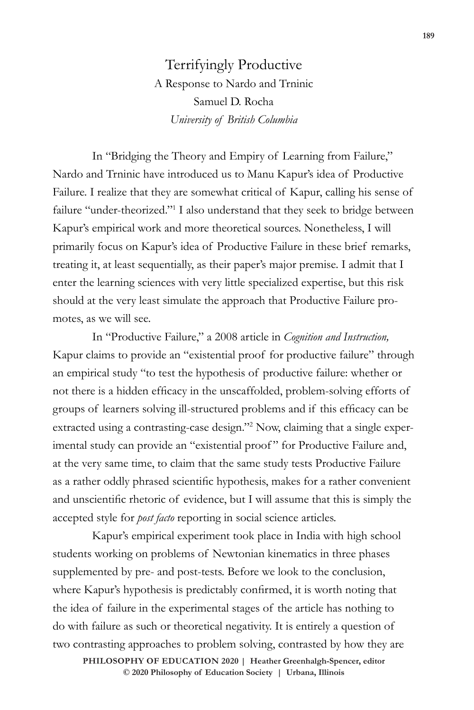Terrifyingly Productive A Response to Nardo and Trninic Samuel D. Rocha *University of British Columbia*

In "Bridging the Theory and Empiry of Learning from Failure," Nardo and Trninic have introduced us to Manu Kapur's idea of Productive Failure. I realize that they are somewhat critical of Kapur, calling his sense of failure "under-theorized."<sup>1</sup> I also understand that they seek to bridge between Kapur's empirical work and more theoretical sources. Nonetheless, I will primarily focus on Kapur's idea of Productive Failure in these brief remarks, treating it, at least sequentially, as their paper's major premise. I admit that I enter the learning sciences with very little specialized expertise, but this risk should at the very least simulate the approach that Productive Failure promotes, as we will see.

In "Productive Failure," a 2008 article in *Cognition and Instruction,*  Kapur claims to provide an "existential proof for productive failure" through an empirical study "to test the hypothesis of productive failure: whether or not there is a hidden efficacy in the unscaffolded, problem-solving efforts of groups of learners solving ill-structured problems and if this efficacy can be extracted using a contrasting-case design."<sup>2</sup> Now, claiming that a single experimental study can provide an "existential proof" for Productive Failure and, at the very same time, to claim that the same study tests Productive Failure as a rather oddly phrased scientific hypothesis, makes for a rather convenient and unscientific rhetoric of evidence, but I will assume that this is simply the accepted style for *post facto* reporting in social science articles.

Kapur's empirical experiment took place in India with high school students working on problems of Newtonian kinematics in three phases supplemented by pre- and post-tests. Before we look to the conclusion, where Kapur's hypothesis is predictably confirmed, it is worth noting that the idea of failure in the experimental stages of the article has nothing to do with failure as such or theoretical negativity. It is entirely a question of two contrasting approaches to problem solving, contrasted by how they are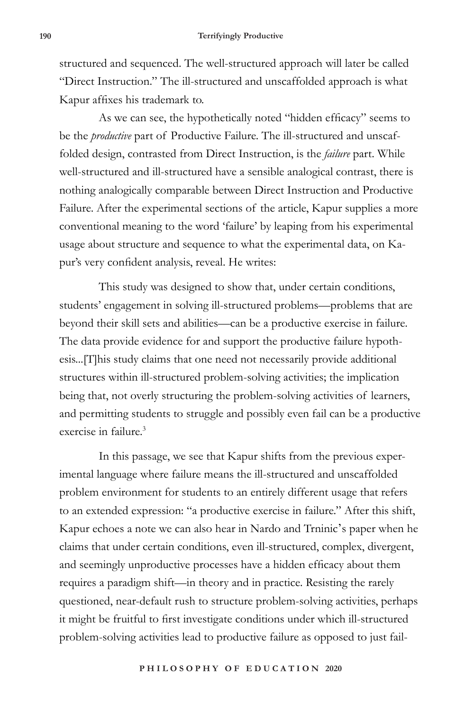structured and sequenced. The well-structured approach will later be called "Direct Instruction." The ill-structured and unscaffolded approach is what Kapur affixes his trademark to.

As we can see, the hypothetically noted "hidden efficacy" seems to be the *productive* part of Productive Failure. The ill-structured and unscaffolded design, contrasted from Direct Instruction, is the *failure* part. While well-structured and ill-structured have a sensible analogical contrast, there is nothing analogically comparable between Direct Instruction and Productive Failure. After the experimental sections of the article, Kapur supplies a more conventional meaning to the word 'failure' by leaping from his experimental usage about structure and sequence to what the experimental data, on Kapur's very confident analysis, reveal. He writes:

This study was designed to show that, under certain conditions, students' engagement in solving ill-structured problems—problems that are beyond their skill sets and abilities—can be a productive exercise in failure. The data provide evidence for and support the productive failure hypothesis...[T]his study claims that one need not necessarily provide additional structures within ill-structured problem-solving activities; the implication being that, not overly structuring the problem-solving activities of learners, and permitting students to struggle and possibly even fail can be a productive exercise in failure.3

In this passage, we see that Kapur shifts from the previous experimental language where failure means the ill-structured and unscaffolded problem environment for students to an entirely different usage that refers to an extended expression: "a productive exercise in failure." After this shift, Kapur echoes a note we can also hear in Nardo and Trninic's paper when he claims that under certain conditions, even ill-structured, complex, divergent, and seemingly unproductive processes have a hidden efficacy about them requires a paradigm shift—in theory and in practice. Resisting the rarely questioned, near-default rush to structure problem-solving activities, perhaps it might be fruitful to first investigate conditions under which ill-structured problem-solving activities lead to productive failure as opposed to just fail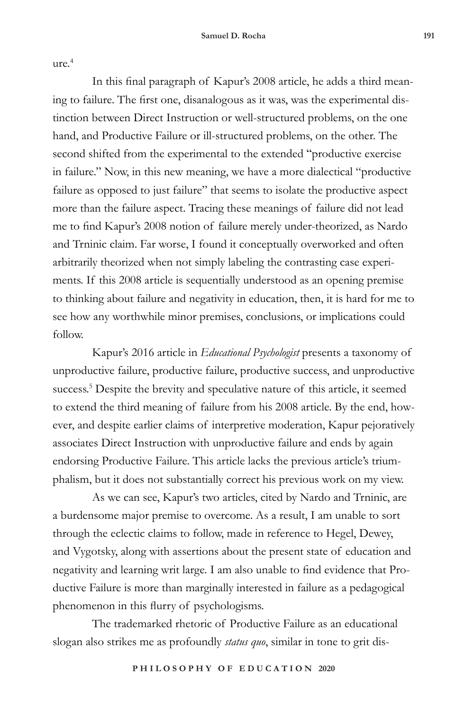$ure.<sup>4</sup>$ 

In this final paragraph of Kapur's 2008 article, he adds a third meaning to failure. The first one, disanalogous as it was, was the experimental distinction between Direct Instruction or well-structured problems, on the one hand, and Productive Failure or ill-structured problems, on the other. The second shifted from the experimental to the extended "productive exercise in failure." Now, in this new meaning, we have a more dialectical "productive failure as opposed to just failure" that seems to isolate the productive aspect more than the failure aspect. Tracing these meanings of failure did not lead me to find Kapur's 2008 notion of failure merely under-theorized, as Nardo and Trninic claim. Far worse, I found it conceptually overworked and often arbitrarily theorized when not simply labeling the contrasting case experiments. If this 2008 article is sequentially understood as an opening premise to thinking about failure and negativity in education, then, it is hard for me to see how any worthwhile minor premises, conclusions, or implications could follow.

Kapur's 2016 article in *Educational Psychologist* presents a taxonomy of unproductive failure, productive failure, productive success, and unproductive success.<sup>5</sup> Despite the brevity and speculative nature of this article, it seemed to extend the third meaning of failure from his 2008 article. By the end, however, and despite earlier claims of interpretive moderation, Kapur pejoratively associates Direct Instruction with unproductive failure and ends by again endorsing Productive Failure. This article lacks the previous article's triumphalism, but it does not substantially correct his previous work on my view.

As we can see, Kapur's two articles, cited by Nardo and Trninic, are a burdensome major premise to overcome. As a result, I am unable to sort through the eclectic claims to follow, made in reference to Hegel, Dewey, and Vygotsky, along with assertions about the present state of education and negativity and learning writ large. I am also unable to find evidence that Productive Failure is more than marginally interested in failure as a pedagogical phenomenon in this flurry of psychologisms.

The trademarked rhetoric of Productive Failure as an educational slogan also strikes me as profoundly *status quo*, similar in tone to grit dis-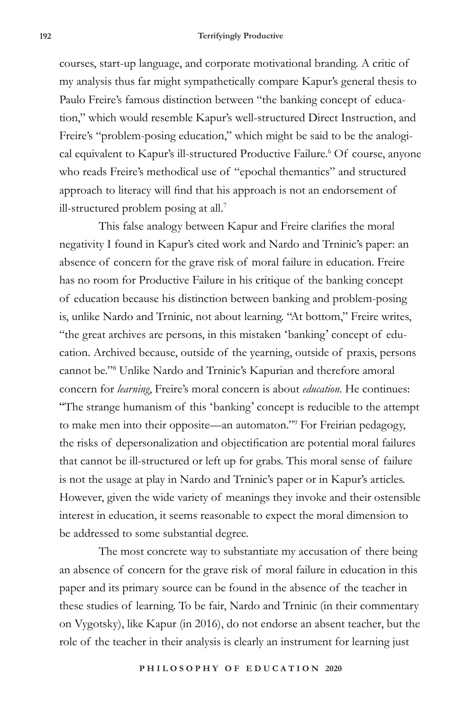## **192 Terrifyingly Productive**

courses, start-up language, and corporate motivational branding. A critic of my analysis thus far might sympathetically compare Kapur's general thesis to Paulo Freire's famous distinction between "the banking concept of education," which would resemble Kapur's well-structured Direct Instruction, and Freire's "problem-posing education," which might be said to be the analogical equivalent to Kapur's ill-structured Productive Failure.<sup>6</sup> Of course, anyone who reads Freire's methodical use of "epochal themantics" and structured approach to literacy will find that his approach is not an endorsement of ill-structured problem posing at all.7

This false analogy between Kapur and Freire clarifies the moral negativity I found in Kapur's cited work and Nardo and Trninic's paper: an absence of concern for the grave risk of moral failure in education. Freire has no room for Productive Failure in his critique of the banking concept of education because his distinction between banking and problem-posing is, unlike Nardo and Trninic, not about learning. "At bottom," Freire writes, "the great archives are persons, in this mistaken 'banking' concept of education. Archived because, outside of the yearning, outside of praxis, persons cannot be."8 Unlike Nardo and Trninic's Kapurian and therefore amoral concern for *learning*, Freire's moral concern is about *education*. He continues: "The strange humanism of this 'banking' concept is reducible to the attempt to make men into their opposite—an automaton."9 For Freirian pedagogy, the risks of depersonalization and objectification are potential moral failures that cannot be ill-structured or left up for grabs. This moral sense of failure is not the usage at play in Nardo and Trninic's paper or in Kapur's articles. However, given the wide variety of meanings they invoke and their ostensible interest in education, it seems reasonable to expect the moral dimension to be addressed to some substantial degree.

The most concrete way to substantiate my accusation of there being an absence of concern for the grave risk of moral failure in education in this paper and its primary source can be found in the absence of the teacher in these studies of learning. To be fair, Nardo and Trninic (in their commentary on Vygotsky), like Kapur (in 2016), do not endorse an absent teacher, but the role of the teacher in their analysis is clearly an instrument for learning just